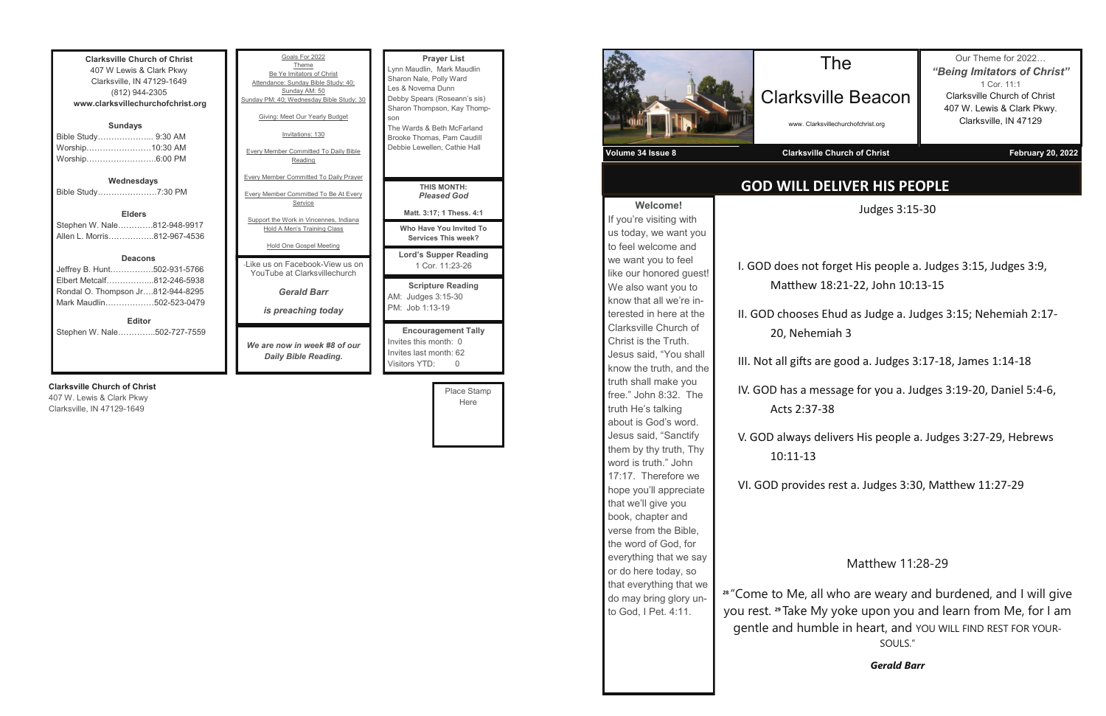**Clarksville Church of Christ** 407 W Lewis & Clark Pkwy Clarksville, IN 47129-1649 (812) 944-2305 **www.clarksvillechurchofchrist.org Sundays** Bible Study………………... 9:30 AM Worship……………………10:30 AM Worship……………………..6:00 PM **Wednesdays**

Bible Study………………….7:30 PM

**Elders** Stephen W. Nale………….812-948-9917 Allen L. Morris……………..812-967-4536

#### **Deacons**

Jeffrey B. Hunt…………….502-931-5766 Elbert Metcalf……………...812-246-5938 Rondal O. Thompson Jr….812-944-8295 Mark Maudlin………………502-523-0479 **Editor**

Stephen W. Nale…………..502-727-7559

#### **Clarksville Church of Christ**

407 W. Lewis & Clark Pkwy Clarksville, IN 47129-1649

month: 62 Visitors YTD: 0 Place Stamp Here

| Goals For 2022<br>Theme<br>Be Ye Imitators of Christ<br>Attendance: Sunday Bible Study: 40:<br>Sunday AM: 50<br>Sunday PM: 40; Wednesday Bible Study: 30<br>Giving: Meet Our Yearly Budget<br>Invitations: 130<br><b>Every Member Committed To Daily Bible</b><br>Reading<br><b>Every Member Committed To Daily Prayer</b> | <b>Prayer List</b><br>Lynn Maudlin, Mark Maudlin<br>Sharon Nale, Polly Ward<br>Les & Novema Dunn<br>Debby Spears (Roseann's sis)<br>Sharon Thompson, Kay Thomp-<br>son<br>The Wards & Beth McFarland<br>Brooke Thomas, Pam Caudill<br>Debbie Lewellen, Cathie Hall |
|----------------------------------------------------------------------------------------------------------------------------------------------------------------------------------------------------------------------------------------------------------------------------------------------------------------------------|--------------------------------------------------------------------------------------------------------------------------------------------------------------------------------------------------------------------------------------------------------------------|
| <b>Every Member Committed To Be At Every</b><br>Service                                                                                                                                                                                                                                                                    | <b>THIS MONTH:</b><br><b>Pleased God</b><br>Matt. 3:17; 1 Thess. 4:1                                                                                                                                                                                               |
| Support the Work in Vincennes, Indiana<br><b>Hold A Men's Training Class</b>                                                                                                                                                                                                                                               | Who Have You Invited To<br><b>Services This week?</b>                                                                                                                                                                                                              |
| Hold One Gospel Meeting<br>-I ike us on Facebook-View us on<br>YouTube at Clarksvillechurch                                                                                                                                                                                                                                | <b>Lord's Supper Reading</b><br>1 Cor. 11:23-26                                                                                                                                                                                                                    |
| <b>Gerald Barr</b><br>is preaching today                                                                                                                                                                                                                                                                                   | <b>Scripture Reading</b><br>AM: Judges 3:15-30<br>PM: Job 1:13-19                                                                                                                                                                                                  |
| We are now in week #8 of our<br>Daily Bible Reading.                                                                                                                                                                                                                                                                       | <b>Encouragement Tally</b><br>Invites this month: 0<br>Invites last month: 62                                                                                                                                                                                      |



## **GOD WILL DELIVER HIS PEOPLE**

Clarksville Beacon

www. Clarksvillechurchofchrist.org

Our Theme for 2022… *"Being Imitators of Christ"* 1 Cor. 11:1 Clarksville Church of Christ 407 W. Lewis & Clark Pkwy. Clarksville, IN 47129

Judges 3:15-30

I. GOD does not forget His people a. Judges 3:15, Judges 3:9, Matthew 18:21-22, John 10:13-15

II. GOD chooses Ehud as Judge a. Judges 3:15; Nehemiah 2:17- 20, Nehemiah 3

III. Not all gifts are good a. Judges 3:17-18, James 1:14-18

IV. GOD has a message for you a. Judges 3:19-20, Daniel 5:4-6,

V. GOD always delivers His people a. Judges 3:27-29, Hebrews

VI. GOD provides rest a. Judges 3:30, Matthew 11:27-29

### Matthew 11:28-29

**28**  "Come to Me, all who are weary and burdened, and I will give you rest. **29** Take My yoke upon you and learn from Me, for I am gentle and humble in heart, and YOU WILL FIND REST FOR YOUR-SOULS."

*Gerald Barr*